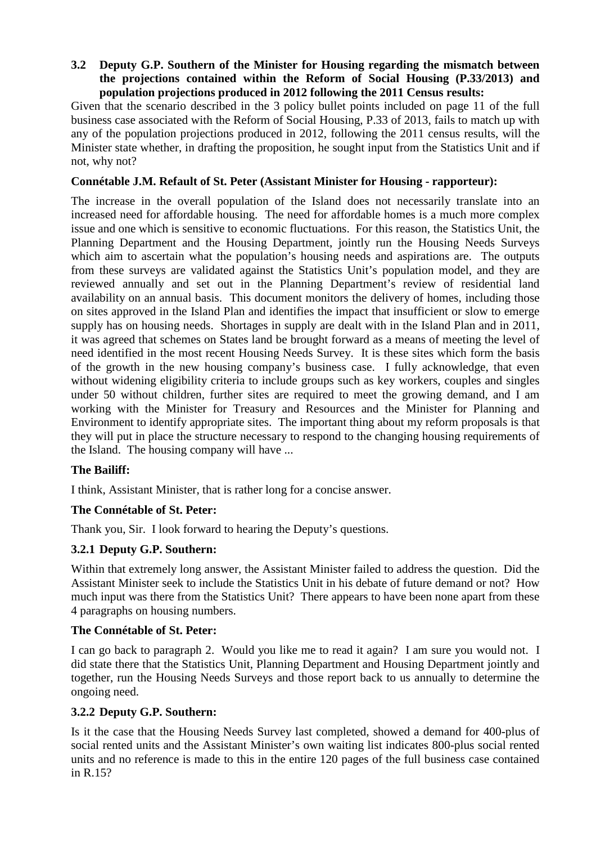#### **3.2 Deputy G.P. Southern of the Minister for Housing regarding the mismatch between the projections contained within the Reform of Social Housing (P.33/2013) and population projections produced in 2012 following the 2011 Census results:**

Given that the scenario described in the 3 policy bullet points included on page 11 of the full business case associated with the Reform of Social Housing, P.33 of 2013, fails to match up with any of the population projections produced in 2012, following the 2011 census results, will the Minister state whether, in drafting the proposition, he sought input from the Statistics Unit and if not, why not?

# **Connétable J.M. Refault of St. Peter (Assistant Minister for Housing - rapporteur):**

The increase in the overall population of the Island does not necessarily translate into an increased need for affordable housing. The need for affordable homes is a much more complex issue and one which is sensitive to economic fluctuations. For this reason, the Statistics Unit, the Planning Department and the Housing Department, jointly run the Housing Needs Surveys which aim to ascertain what the population's housing needs and aspirations are. The outputs from these surveys are validated against the Statistics Unit's population model, and they are reviewed annually and set out in the Planning Department's review of residential land availability on an annual basis. This document monitors the delivery of homes, including those on sites approved in the Island Plan and identifies the impact that insufficient or slow to emerge supply has on housing needs. Shortages in supply are dealt with in the Island Plan and in 2011, it was agreed that schemes on States land be brought forward as a means of meeting the level of need identified in the most recent Housing Needs Survey. It is these sites which form the basis of the growth in the new housing company's business case. I fully acknowledge, that even without widening eligibility criteria to include groups such as key workers, couples and singles under 50 without children, further sites are required to meet the growing demand, and I am working with the Minister for Treasury and Resources and the Minister for Planning and Environment to identify appropriate sites. The important thing about my reform proposals is that they will put in place the structure necessary to respond to the changing housing requirements of the Island. The housing company will have ...

## **The Bailiff:**

I think, Assistant Minister, that is rather long for a concise answer.

## **The Connétable of St. Peter:**

Thank you, Sir. I look forward to hearing the Deputy's questions.

## **3.2.1 Deputy G.P. Southern:**

Within that extremely long answer, the Assistant Minister failed to address the question. Did the Assistant Minister seek to include the Statistics Unit in his debate of future demand or not? How much input was there from the Statistics Unit? There appears to have been none apart from these 4 paragraphs on housing numbers.

#### **The Connétable of St. Peter:**

I can go back to paragraph 2. Would you like me to read it again? I am sure you would not. I did state there that the Statistics Unit, Planning Department and Housing Department jointly and together, run the Housing Needs Surveys and those report back to us annually to determine the ongoing need.

## **3.2.2 Deputy G.P. Southern:**

Is it the case that the Housing Needs Survey last completed, showed a demand for 400-plus of social rented units and the Assistant Minister's own waiting list indicates 800-plus social rented units and no reference is made to this in the entire 120 pages of the full business case contained in R.15?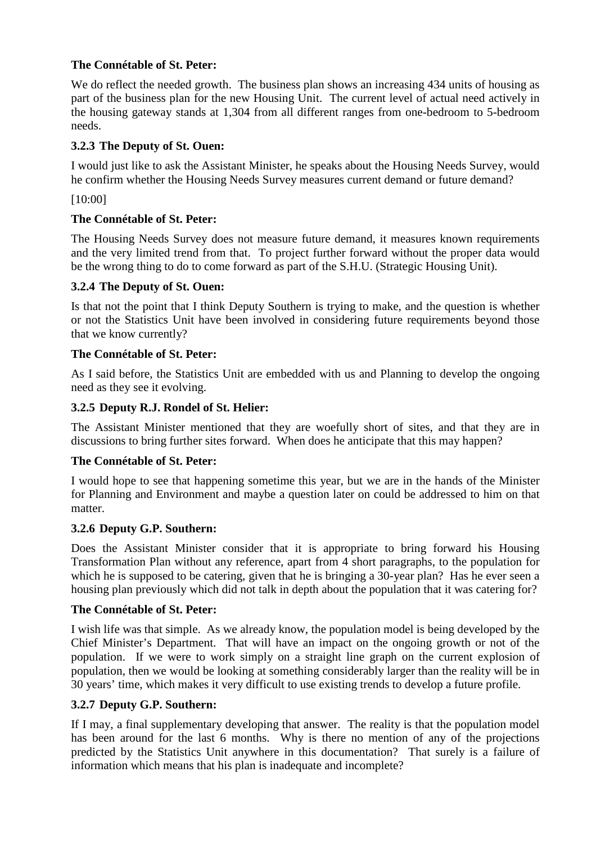# **The Connétable of St. Peter:**

We do reflect the needed growth. The business plan shows an increasing 434 units of housing as part of the business plan for the new Housing Unit. The current level of actual need actively in the housing gateway stands at 1,304 from all different ranges from one-bedroom to 5-bedroom needs.

# **3.2.3 The Deputy of St. Ouen:**

I would just like to ask the Assistant Minister, he speaks about the Housing Needs Survey, would he confirm whether the Housing Needs Survey measures current demand or future demand?

[10:00]

## **The Connétable of St. Peter:**

The Housing Needs Survey does not measure future demand, it measures known requirements and the very limited trend from that. To project further forward without the proper data would be the wrong thing to do to come forward as part of the S.H.U. (Strategic Housing Unit).

## **3.2.4 The Deputy of St. Ouen:**

Is that not the point that I think Deputy Southern is trying to make, and the question is whether or not the Statistics Unit have been involved in considering future requirements beyond those that we know currently?

#### **The Connétable of St. Peter:**

As I said before, the Statistics Unit are embedded with us and Planning to develop the ongoing need as they see it evolving.

## **3.2.5 Deputy R.J. Rondel of St. Helier:**

The Assistant Minister mentioned that they are woefully short of sites, and that they are in discussions to bring further sites forward. When does he anticipate that this may happen?

## **The Connétable of St. Peter:**

I would hope to see that happening sometime this year, but we are in the hands of the Minister for Planning and Environment and maybe a question later on could be addressed to him on that matter.

#### **3.2.6 Deputy G.P. Southern:**

Does the Assistant Minister consider that it is appropriate to bring forward his Housing Transformation Plan without any reference, apart from 4 short paragraphs, to the population for which he is supposed to be catering, given that he is bringing a 30-year plan? Has he ever seen a housing plan previously which did not talk in depth about the population that it was catering for?

#### **The Connétable of St. Peter:**

I wish life was that simple. As we already know, the population model is being developed by the Chief Minister's Department. That will have an impact on the ongoing growth or not of the population. If we were to work simply on a straight line graph on the current explosion of population, then we would be looking at something considerably larger than the reality will be in 30 years' time, which makes it very difficult to use existing trends to develop a future profile.

## **3.2.7 Deputy G.P. Southern:**

If I may, a final supplementary developing that answer. The reality is that the population model has been around for the last 6 months. Why is there no mention of any of the projections predicted by the Statistics Unit anywhere in this documentation? That surely is a failure of information which means that his plan is inadequate and incomplete?